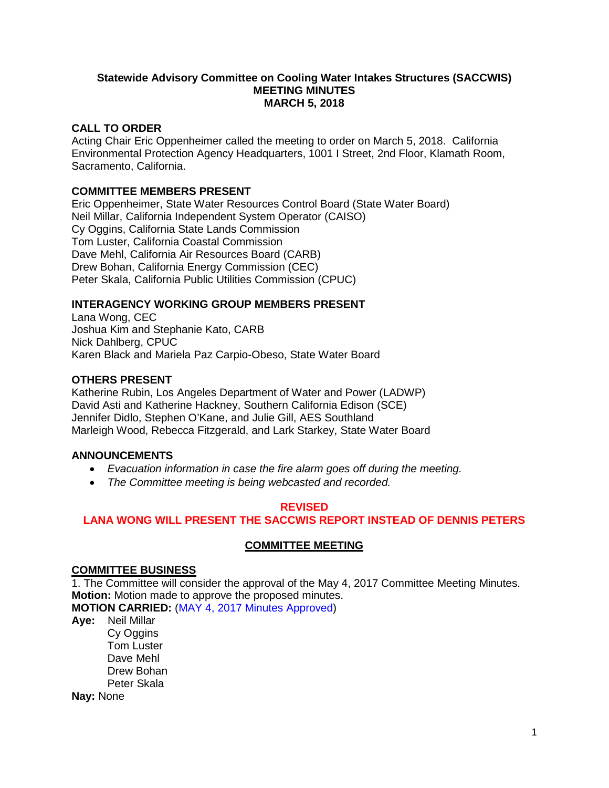#### **Statewide Advisory Committee on Cooling Water Intakes Structures (SACCWIS) MEETING MINUTES MARCH 5, 2018**

## **CALL TO ORDER**

Acting Chair Eric Oppenheimer called the meeting to order on March 5, 2018. California Environmental Protection Agency Headquarters, 1001 I Street, 2nd Floor, Klamath Room, Sacramento, California.

## **COMMITTEE MEMBERS PRESENT**

Eric Oppenheimer, State Water Resources Control Board (State Water Board) Neil Millar, California Independent System Operator (CAISO) Cy Oggins, California State Lands Commission Tom Luster, California Coastal Commission Dave Mehl, California Air Resources Board (CARB) Drew Bohan, California Energy Commission (CEC) Peter Skala, California Public Utilities Commission (CPUC)

# **INTERAGENCY WORKING GROUP MEMBERS PRESENT**

Lana Wong, CEC Joshua Kim and Stephanie Kato, CARB Nick Dahlberg, CPUC Karen Black and Mariela Paz Carpio-Obeso, State Water Board

## **OTHERS PRESENT**

Katherine Rubin, Los Angeles Department of Water and Power (LADWP) David Asti and Katherine Hackney, Southern California Edison (SCE) Jennifer Didlo, Stephen O'Kane, and Julie Gill, AES Southland Marleigh Wood, Rebecca Fitzgerald, and Lark Starkey, State Water Board

# **ANNOUNCEMENTS**

- *Evacuation information in case the fire alarm goes off during the meeting.*
- *The Committee meeting is being webcasted and recorded.*

## **REVISED**

# **LANA WONG WILL PRESENT THE SACCWIS REPORT INSTEAD OF DENNIS PETERS**

## **COMMITTEE MEETING**

## **COMMITTEE BUSINESS**

1. The Committee will consider the approval of the May 4, 2017 Committee Meeting Minutes. **Motion:** Motion made to approve the proposed minutes.

**MOTION CARRIED:** (MAY 4, 2017 Minutes Approved)

**Aye:** Neil Millar Cy Oggins Tom Luster Dave Mehl Drew Bohan Peter Skala **Nay:** None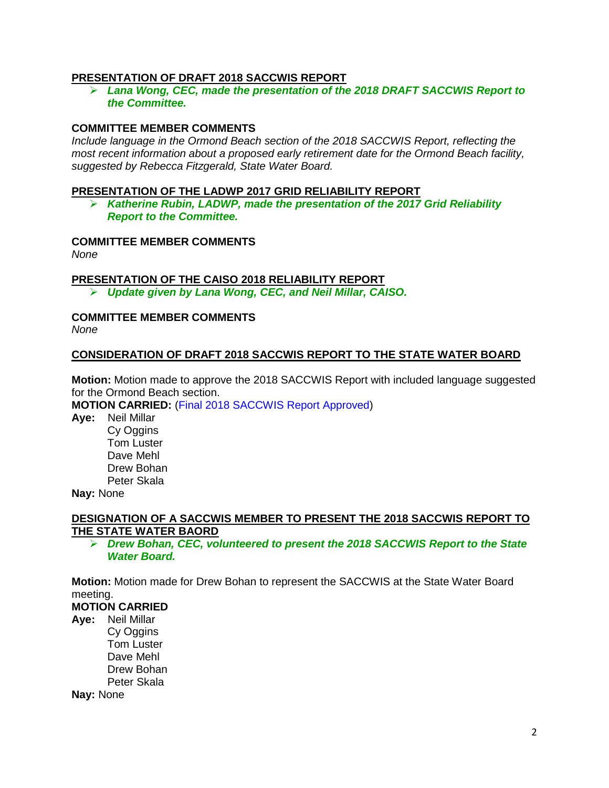### **PRESENTATION OF DRAFT 2018 SACCWIS REPORT**

 *Lana Wong, CEC, made the presentation of the 2018 DRAFT SACCWIS Report to the Committee.*

## **COMMITTEE MEMBER COMMENTS**

*Include language in the Ormond Beach section of the 2018 SACCWIS Report, reflecting the most recent information about a proposed early retirement date for the Ormond Beach facility, suggested by Rebecca Fitzgerald, State Water Board.* 

#### **PRESENTATION OF THE LADWP 2017 GRID RELIABILITY REPORT**

 *Katherine Rubin, LADWP, made the presentation of the 2017 Grid Reliability Report to the Committee.* 

#### **COMMITTEE MEMBER COMMENTS**

*None*

**PRESENTATION OF THE CAISO 2018 RELIABILITY REPORT**

*Update given by Lana Wong, CEC, and Neil Millar, CAISO.* 

### **COMMITTEE MEMBER COMMENTS**

*None*

#### **CONSIDERATION OF DRAFT 2018 SACCWIS REPORT TO THE STATE WATER BOARD**

**Motion:** Motion made to approve the 2018 SACCWIS Report with included language suggested for the Ormond Beach section.

**MOTION CARRIED:** (Final 2018 SACCWIS Report Approved)

**Aye:** Neil Millar Cy Oggins Tom Luster Dave Mehl Drew Bohan Peter Skala

**Nay:** None

#### **DESIGNATION OF A SACCWIS MEMBER TO PRESENT THE 2018 SACCWIS REPORT TO THE STATE WATER BAORD**

 *Drew Bohan, CEC, volunteered to present the 2018 SACCWIS Report to the State Water Board.* 

**Motion:** Motion made for Drew Bohan to represent the SACCWIS at the State Water Board meeting.

## **MOTION CARRIED**

**Aye:** Neil Millar Cy Oggins Tom Luster Dave Mehl Drew Bohan Peter Skala **Nay:** None